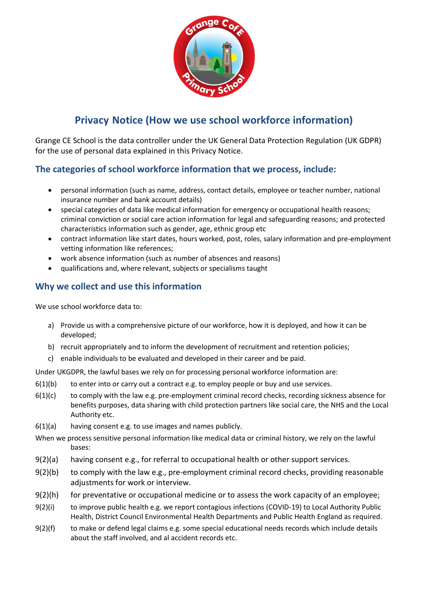

# **Privacy Notice (How we use school workforce information)**

Grange CE School is the data controller under the UK General Data Protection Regulation (UK GDPR) for the use of personal data explained in this Privacy Notice.

# **The categories of school workforce information that we process, include:**

- personal information (such as name, address, contact details, employee or teacher number, national insurance number and bank account details)
- special categories of data like medical information for emergency or occupational health reasons; criminal conviction or social care action information for legal and safeguarding reasons; and protected characteristics information such as gender, age, ethnic group etc
- contract information like start dates, hours worked, post, roles, salary information and pre-employment vetting information like references;
- work absence information (such as number of absences and reasons)
- qualifications and, where relevant, subjects or specialisms taught

## **Why we collect and use this information**

We use school workforce data to:

- a) Provide us with a comprehensive picture of our workforce, how it is deployed, and how it can be developed;
- b) recruit appropriately and to inform the development of recruitment and retention policies;
- c) enable individuals to be evaluated and developed in their career and be paid.

Under UKGDPR, the lawful bases we rely on for processing personal workforce information are:

- $6(1)(b)$  to enter into or carry out a contract e.g. to employ people or buy and use services.
- $6(1)(c)$  to comply with the law e.g. pre-employment criminal record checks, recording sickness absence for benefits purposes, data sharing with child protection partners like social care, the NHS and the Local Authority etc.
- 6(1)(a) having consent e.g. to use images and names publicly.
- When we process sensitive personal information like medical data or criminal history, we rely on the lawful bases:
- 9(2)(a) having consent e.g., for referral to occupational health or other support services.
- 9(2)(b) to comply with the law e.g., pre-employment criminal record checks, providing reasonable adjustments for work or interview.
- 9(2)(h) for preventative or occupational medicine or to assess the work capacity of an employee;
- 9(2)(i) to improve public health e.g. we report contagious infections (COVID-19) to Local Authority Public Health, District Council Environmental Health Departments and Public Health England as required.
- 9(2)(f) to make or defend legal claims e.g. some special educational needs records which include details about the staff involved, and al accident records etc.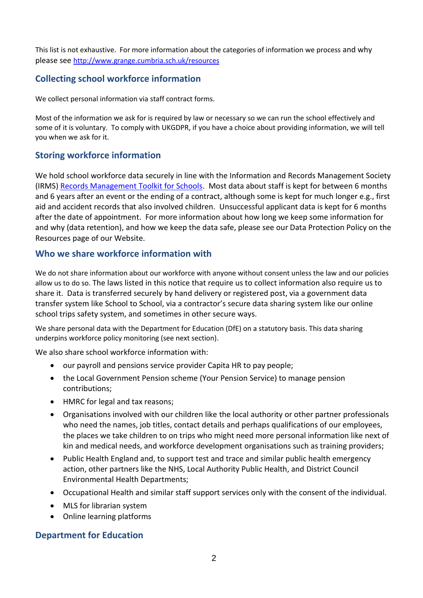This list is not exhaustive. For more information about the categories of information we process and why please see <http://www.grange.cumbria.sch.uk/resources>

## **Collecting school workforce information**

We collect personal information via staff contract forms.

Most of the information we ask for is required by law or necessary so we can run the school effectively and some of it is voluntary. To comply with UKGDPR, if you have a choice about providing information, we will tell you when we ask for it.

## **Storing workforce information**

We hold school workforce data securely in line with the Information and Records Management Society (IRMS) [Records Management Toolkit for Schools.](https://irms.org.uk/general/custom.asp?page=SchoolsToolkit) Most data about staff is kept for between 6 months and 6 years after an event or the ending of a contract, although some is kept for much longer e.g., first aid and accident records that also involved children. Unsuccessful applicant data is kept for 6 months after the date of appointment. For more information about how long we keep some information for and why (data retention), and how we keep the data safe, please see our Data Protection Policy on the Resources page of our Website.

### **Who we share workforce information with**

We do not share information about our workforce with anyone without consent unless the law and our policies allow us to do so. The laws listed in this notice that require us to collect information also require us to share it. Data is transferred securely by hand delivery or registered post, via a government data transfer system like School to School, via a contractor's secure data sharing system like our online school trips safety system, and sometimes in other secure ways.

We share personal data with the Department for Education (DfE) on a statutory basis. This data sharing underpins workforce policy monitoring (see next section).

We also share school workforce information with:

- our payroll and pensions service provider Capita HR to pay people;
- the Local Government Pension scheme (Your Pension Service) to manage pension contributions;
- HMRC for legal and tax reasons;
- Organisations involved with our children like the local authority or other partner professionals who need the names, job titles, contact details and perhaps qualifications of our employees, the places we take children to on trips who might need more personal information like next of kin and medical needs, and workforce development organisations such as training providers;
- Public Health England and, to support test and trace and similar public health emergency action, other partners like the NHS, Local Authority Public Health, and District Council Environmental Health Departments;
- Occupational Health and similar staff support services only with the consent of the individual.
- MLS for librarian system
- Online learning platforms

#### **Department for Education**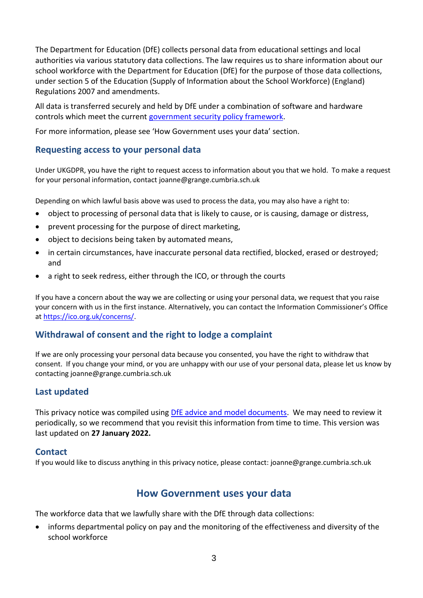The Department for Education (DfE) collects personal data from educational settings and local authorities via various statutory data collections. The law requires us to share information about our school workforce with the Department for Education (DfE) for the purpose of those data collections, under section 5 of the Education (Supply of Information about the School Workforce) (England) Regulations 2007 and amendments.

All data is transferred securely and held by DfE under a combination of software and hardware controls which meet the current [government security policy framework.](https://www.gov.uk/government/publications/security-policy-framework)

For more information, please see 'How Government uses your data' section.

#### **Requesting access to your personal data**

Under UKGDPR, you have the right to request access to information about you that we hold. To make a request for your personal information, contact joanne@grange.cumbria.sch.uk

Depending on which lawful basis above was used to process the data, you may also have a right to:

- object to processing of personal data that is likely to cause, or is causing, damage or distress,
- prevent processing for the purpose of direct marketing,
- object to decisions being taken by automated means,
- in certain circumstances, have inaccurate personal data rectified, blocked, erased or destroyed; and
- a right to seek redress, either through the ICO, or through the courts

If you have a concern about the way we are collecting or using your personal data, we request that you raise your concern with us in the first instance. Alternatively, you can contact the Information Commissioner's Office at [https://ico.org.uk/concerns/.](https://ico.org.uk/concerns/)

#### **Withdrawal of consent and the right to lodge a complaint**

If we are only processing your personal data because you consented, you have the right to withdraw that consent. If you change your mind, or you are unhappy with our use of your personal data, please let us know by contacting joanne@grange.cumbria.sch.uk

#### **Last updated**

This privacy notice was compiled using [DfE advice and model documents.](https://www.gov.uk/government/publications/data-protection-and-privacy-privacy-notices) We may need to review it periodically, so we recommend that you revisit this information from time to time. This version was last updated on **27 January 2022.**

#### **Contact**

If you would like to discuss anything in this privacy notice, please contact: joanne@grange.cumbria.sch.uk

# **How Government uses your data**

The workforce data that we lawfully share with the DfE through data collections:

• informs departmental policy on pay and the monitoring of the effectiveness and diversity of the school workforce